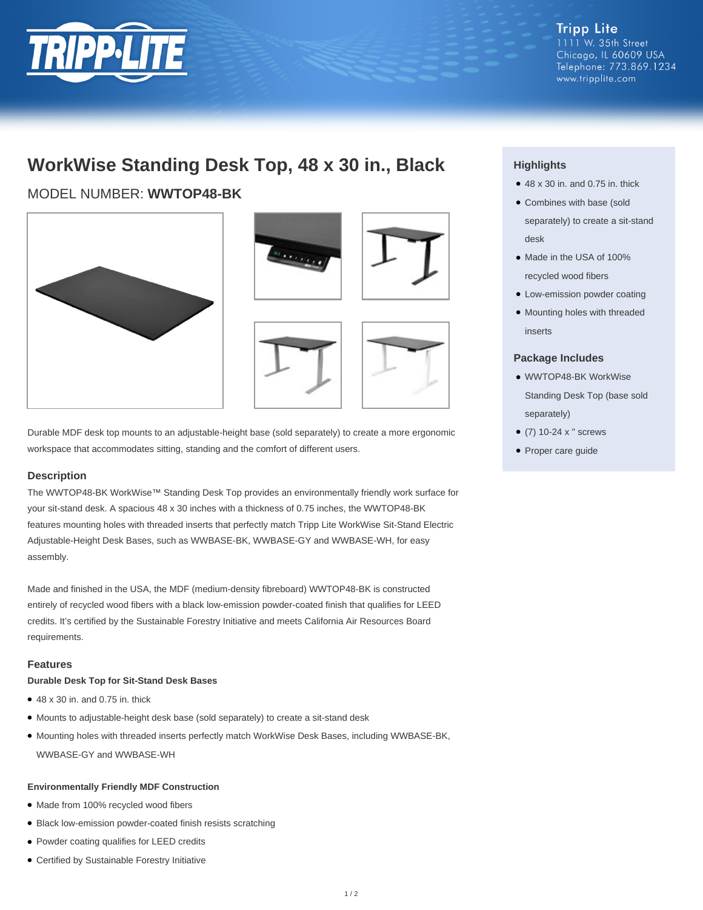

**Tripp Lite** 1111 W. 35th Street Chicago, IL 60609 USA Telephone: 773.869.1234 www.tripplite.com

## **WorkWise Standing Desk Top, 48 x 30 in., Black**

### MODEL NUMBER: **WWTOP48-BK**





Durable MDF desk top mounts to an adjustable-height base (sold separately) to create a more ergonomic workspace that accommodates sitting, standing and the comfort of different users.

#### **Description**

The WWTOP48-BK WorkWise™ Standing Desk Top provides an environmentally friendly work surface for your sit-stand desk. A spacious 48 x 30 inches with a thickness of 0.75 inches, the WWTOP48-BK features mounting holes with threaded inserts that perfectly match Tripp Lite WorkWise Sit-Stand Electric Adjustable-Height Desk Bases, such as WWBASE-BK, WWBASE-GY and WWBASE-WH, for easy assembly.

Made and finished in the USA, the MDF (medium-density fibreboard) WWTOP48-BK is constructed entirely of recycled wood fibers with a black low-emission powder-coated finish that qualifies for LEED credits. It's certified by the Sustainable Forestry Initiative and meets California Air Resources Board requirements.

### **Features**

#### **Durable Desk Top for Sit-Stand Desk Bases**

- $\bullet$  48 x 30 in. and 0.75 in. thick
- Mounts to adjustable-height desk base (sold separately) to create a sit-stand desk
- Mounting holes with threaded inserts perfectly match WorkWise Desk Bases, including WWBASE-BK, WWBASE-GY and WWBASE-WH

#### **Environmentally Friendly MDF Construction**

- Made from 100% recycled wood fibers
- Black low-emission powder-coated finish resists scratching
- Powder coating qualifies for LEED credits
- Certified by Sustainable Forestry Initiative

#### **Highlights**

- $\bullet$  48 x 30 in. and 0.75 in. thick
- Combines with base (sold separately) to create a sit-stand desk
- Made in the USA of 100% recycled wood fibers
- Low-emission powder coating
- Mounting holes with threaded inserts

#### **Package Includes**

- WWTOP48-BK WorkWise Standing Desk Top (base sold separately)
- (7) 10-24 x " screws
- Proper care guide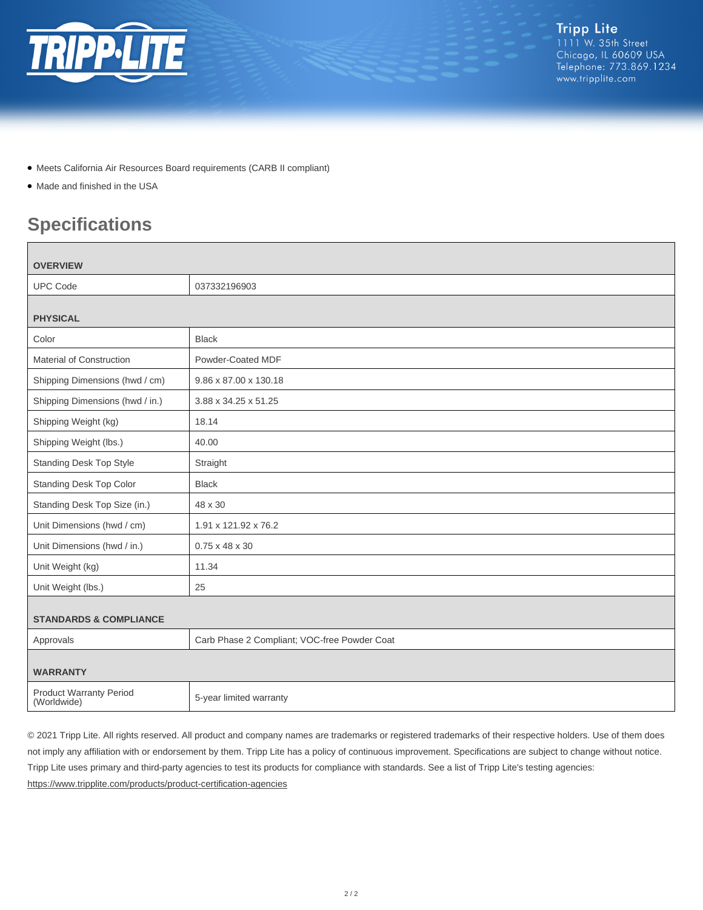

- Meets California Air Resources Board requirements (CARB II compliant)
- Made and finished in the USA

## **Specifications**

| <b>OVERVIEW</b>                               |                                              |
|-----------------------------------------------|----------------------------------------------|
| <b>UPC Code</b>                               | 037332196903                                 |
| <b>PHYSICAL</b>                               |                                              |
| Color                                         | <b>Black</b>                                 |
| Material of Construction                      | Powder-Coated MDF                            |
| Shipping Dimensions (hwd / cm)                | 9.86 x 87.00 x 130.18                        |
| Shipping Dimensions (hwd / in.)               | 3.88 x 34.25 x 51.25                         |
| Shipping Weight (kg)                          | 18.14                                        |
| Shipping Weight (lbs.)                        | 40.00                                        |
| <b>Standing Desk Top Style</b>                | Straight                                     |
| Standing Desk Top Color                       | <b>Black</b>                                 |
| Standing Desk Top Size (in.)                  | 48 x 30                                      |
| Unit Dimensions (hwd / cm)                    | 1.91 x 121.92 x 76.2                         |
| Unit Dimensions (hwd / in.)                   | $0.75 \times 48 \times 30$                   |
| Unit Weight (kg)                              | 11.34                                        |
| Unit Weight (lbs.)                            | 25                                           |
| <b>STANDARDS &amp; COMPLIANCE</b>             |                                              |
| Approvals                                     | Carb Phase 2 Compliant; VOC-free Powder Coat |
| <b>WARRANTY</b>                               |                                              |
| <b>Product Warranty Period</b><br>(Worldwide) | 5-year limited warranty                      |

© 2021 Tripp Lite. All rights reserved. All product and company names are trademarks or registered trademarks of their respective holders. Use of them does not imply any affiliation with or endorsement by them. Tripp Lite has a policy of continuous improvement. Specifications are subject to change without notice. Tripp Lite uses primary and third-party agencies to test its products for compliance with standards. See a list of Tripp Lite's testing agencies: <https://www.tripplite.com/products/product-certification-agencies>